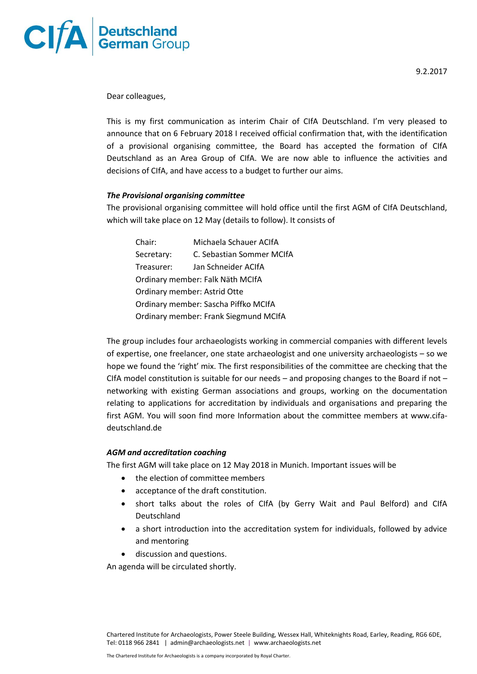

Dear colleagues,

This is my first communication as interim Chair of CIfA Deutschland. I'm very pleased to announce that on 6 February 2018 I received official confirmation that, with the identification of a provisional organising committee, the Board has accepted the formation of CIfA Deutschland as an Area Group of CIfA. We are now able to influence the activities and decisions of CIfA, and have access to a budget to further our aims.

## *The Provisional organising committee*

The provisional organising committee will hold office until the first AGM of CIfA Deutschland, which will take place on 12 May (details to follow). It consists of

| Chair:                                | Michaela Schauer ACIfA    |
|---------------------------------------|---------------------------|
| Secretary:                            | C. Sebastian Sommer MCIfA |
| Treasurer:                            | Jan Schneider ACIfA       |
| Ordinary member: Falk Näth MCIfA      |                           |
| Ordinary member: Astrid Otte          |                           |
| Ordinary member: Sascha Piffko MCIfA  |                           |
| Ordinary member: Frank Siegmund MCIfA |                           |

The group includes four archaeologists working in commercial companies with different levels of expertise, one freelancer, one state archaeologist and one university archaeologists – so we hope we found the 'right' mix. The first responsibilities of the committee are checking that the CIfA model constitution is suitable for our needs  $-$  and proposing changes to the Board if not  $$ networking with existing German associations and groups, working on the documentation relating to applications for accreditation by individuals and organisations and preparing the first AGM. You will soon find more Information about the committee members at www.cifadeutschland.de

## *AGM and accreditation coaching*

The first AGM will take place on 12 May 2018 in Munich. Important issues will be

- the election of committee members
- acceptance of the draft constitution.
- short talks about the roles of CIfA (by Gerry Wait and Paul Belford) and CIfA Deutschland
- a short introduction into the accreditation system for individuals, followed by advice and mentoring
- discussion and questions.

An agenda will be circulated shortly.